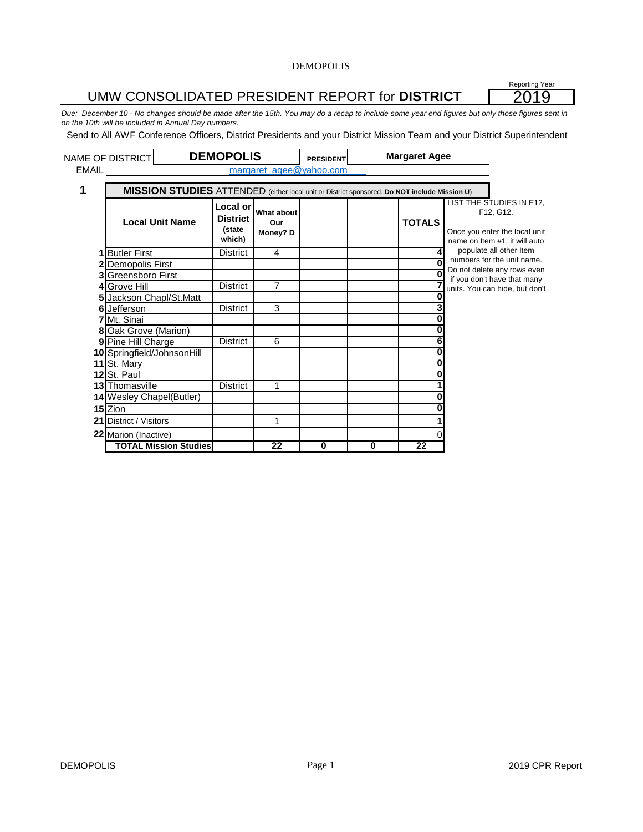# UMW CONSOLIDATED PRESIDENT REPORT for **DISTRICT**

Reporting Year 2019

*Due: December 10 - No changes should be made after the 15th. You may do a recap to include some year end figures but only those figures sent in on the 10th will be included in Annual Day numbers.*

Send to All AWF Conference Officers, District Presidents and your District Mission Team and your District Superintendent

|       | <b>NAME OF DISTRICT</b>                                                                      | <b>DEMOPOLIS</b>                                |                               | <b>PRESIDENT</b> |   | <b>Margaret Agee</b> |                                                                                                         |
|-------|----------------------------------------------------------------------------------------------|-------------------------------------------------|-------------------------------|------------------|---|----------------------|---------------------------------------------------------------------------------------------------------|
| EMAIL |                                                                                              |                                                 | margaret_agee@yahoo.com       |                  |   |                      |                                                                                                         |
|       | MISSION STUDIES ATTENDED (either local unit or District sponsored. Do NOT include Mission U) |                                                 |                               |                  |   |                      |                                                                                                         |
|       | <b>Local Unit Name</b>                                                                       | Local or<br><b>District</b><br>(state<br>which) | What about<br>Our<br>Money? D |                  |   | <b>TOTALS</b>        | LIST THE STUDIES IN E12,<br>F12, G12.<br>Once you enter the local unit<br>name on Item #1, it will auto |
|       | <b>Butler First</b>                                                                          | <b>District</b>                                 | 4                             |                  |   |                      | populate all other Item                                                                                 |
|       | Demopolis First                                                                              |                                                 |                               |                  |   |                      | numbers for the unit name.<br>Do not delete any rows even                                               |
|       | <b>Greensboro First</b>                                                                      |                                                 |                               |                  |   |                      | if you don't have that many                                                                             |
|       | 4 Grove Hill                                                                                 | <b>District</b>                                 | $\overline{7}$                |                  |   |                      | units. You can hide, but don't                                                                          |
|       | Jackson Chapl/St.Matt                                                                        |                                                 |                               |                  |   | Λ                    |                                                                                                         |
| 6     | Jefferson                                                                                    | <b>District</b>                                 | 3                             |                  |   |                      |                                                                                                         |
|       | 7 Mt. Sinai                                                                                  |                                                 |                               |                  |   |                      |                                                                                                         |
|       | 8 Oak Grove (Marion)                                                                         |                                                 |                               |                  |   |                      |                                                                                                         |
|       | 9 Pine Hill Charge                                                                           | District                                        | 6                             |                  |   |                      |                                                                                                         |
|       | 10 Springfield/JohnsonHill                                                                   |                                                 |                               |                  |   |                      |                                                                                                         |
|       | 11 St. Mary                                                                                  |                                                 |                               |                  |   |                      |                                                                                                         |
|       | 12 St. Paul                                                                                  |                                                 |                               |                  |   |                      |                                                                                                         |
|       | 13 Thomasville                                                                               | <b>District</b>                                 | 1                             |                  |   |                      |                                                                                                         |
|       | 14 Wesley Chapel(Butler)                                                                     |                                                 |                               |                  |   |                      |                                                                                                         |
|       | 15 Zion                                                                                      |                                                 |                               |                  |   |                      |                                                                                                         |
|       | <b>21 District / Visitors</b>                                                                |                                                 | 1                             |                  |   |                      |                                                                                                         |
|       | 22 Marion (Inactive)                                                                         |                                                 |                               |                  |   |                      |                                                                                                         |
|       | <b>TOTAL Mission Studies</b>                                                                 |                                                 | 22                            | $\bf{0}$         | 0 | 22                   |                                                                                                         |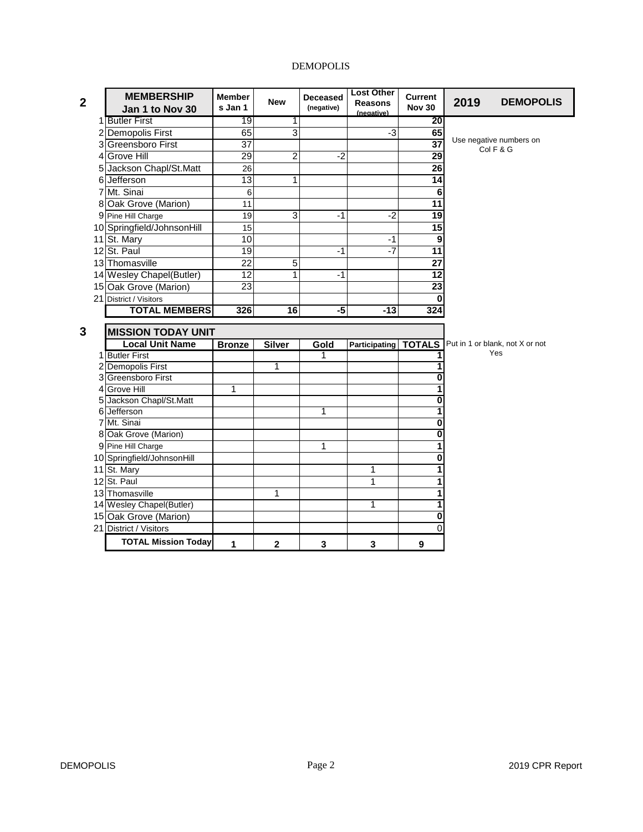| $\mathbf{2}$ | <b>MEMBERSHIP</b><br>Jan 1 to Nov 30 | <b>Member</b><br>s Jan 1 | <b>New</b>      | <b>Deceased</b><br>(negative) | <b>Lost Other</b><br><b>Reasons</b><br>(negative) | <b>Current</b><br><b>Nov 30</b> | 2019 | <b>DEMOPOLIS</b>                     |
|--------------|--------------------------------------|--------------------------|-----------------|-------------------------------|---------------------------------------------------|---------------------------------|------|--------------------------------------|
|              | 1 Butler First                       | 19                       | 1               |                               |                                                   | 20                              |      |                                      |
|              | 2 Demopolis First                    | 65                       | 3               |                               | $-3$                                              | 65                              |      |                                      |
|              | 3 Greensboro First                   | $\overline{37}$          |                 |                               |                                                   | $\overline{37}$                 |      | Use negative numbers on<br>Col F & G |
|              | 4 Grove Hill                         | 29                       | 2               | $-2$                          |                                                   | 29                              |      |                                      |
|              | 5 Jackson Chapl/St.Matt              | 26                       |                 |                               |                                                   | 26                              |      |                                      |
|              | 6 Jefferson                          | 13                       | 1               |                               |                                                   | 14                              |      |                                      |
|              | 7 Mt. Sinai                          | 6                        |                 |                               |                                                   | 6                               |      |                                      |
|              | 8 Oak Grove (Marion)                 | 11                       |                 |                               |                                                   | 11                              |      |                                      |
|              | 9 Pine Hill Charge                   | 19                       | 3               | $-1$                          | $-2$                                              | $\overline{19}$                 |      |                                      |
|              | 10 Springfield/JohnsonHill           | 15                       |                 |                               |                                                   | 15                              |      |                                      |
|              | 11 St. Mary                          | 10                       |                 |                               | $-1$                                              | 9                               |      |                                      |
|              | 12 St. Paul                          | $\overline{19}$          |                 | $-1$                          | $-7$                                              | 11                              |      |                                      |
|              | 13 Thomasville                       | $\overline{22}$          | 5               |                               |                                                   | 27                              |      |                                      |
|              | 14 Wesley Chapel(Butler)             | 12                       | 1               | $-1$                          |                                                   | 12                              |      |                                      |
|              | 15 Oak Grove (Marion)                | 23                       |                 |                               |                                                   | 23                              |      |                                      |
|              | 21 District / Visitors               |                          |                 |                               |                                                   | $\bf{0}$                        |      |                                      |
|              | <b>TOTAL MEMBERS</b>                 | 326                      | $\overline{16}$ | $-5$                          | $-13$                                             | 324                             |      |                                      |
| 3            | <b>MISSION TODAY UNIT</b>            |                          |                 |                               |                                                   |                                 |      |                                      |
|              | <b>Local Unit Name</b>               | <b>Bronze</b>            | <b>Silver</b>   | Gold                          | Participating                                     | <b>TOTALS</b>                   |      | Put in 1 or blank, not X or not      |
|              | 1 Butler First                       |                          |                 | 1                             |                                                   | 1                               |      | Yes                                  |
|              | 2 Demopolis First                    |                          | 1               |                               |                                                   | 1                               |      |                                      |
|              | 3 Greensboro First                   |                          |                 |                               |                                                   | 0                               |      |                                      |
|              | 4 Grove Hill                         | 1                        |                 |                               |                                                   |                                 |      |                                      |
|              | 5 Jackson Chapl/St.Matt              |                          |                 |                               |                                                   | 0                               |      |                                      |
|              | 6 Jefferson                          |                          |                 | 1                             |                                                   | 1                               |      |                                      |
|              | 7 Mt. Sinai                          |                          |                 |                               |                                                   | 0                               |      |                                      |
|              | 8 Oak Grove (Marion)                 |                          |                 |                               |                                                   | 0                               |      |                                      |
|              | 9 Pine Hill Charge                   |                          |                 | 1                             |                                                   | 1                               |      |                                      |
|              | 10 Springfield/JohnsonHill           |                          |                 |                               |                                                   | 0                               |      |                                      |
|              | 11 St. Mary                          |                          |                 |                               | 1                                                 | 1                               |      |                                      |
|              | 12 St. Paul                          |                          |                 |                               | 1                                                 | 1                               |      |                                      |
|              | 13 Thomasville                       |                          | 1               |                               |                                                   | 1                               |      |                                      |
|              | 14 Wesley Chapel(Butler)             |                          |                 |                               | 1                                                 | 1                               |      |                                      |
|              | 15 Oak Grove (Marion)                |                          |                 |                               |                                                   | 0                               |      |                                      |
|              | 21 District / Visitors               |                          |                 |                               |                                                   | 0                               |      |                                      |
|              | <b>TOTAL Mission Today</b>           | 1                        | 2               | 3                             | 3                                                 | 9                               |      |                                      |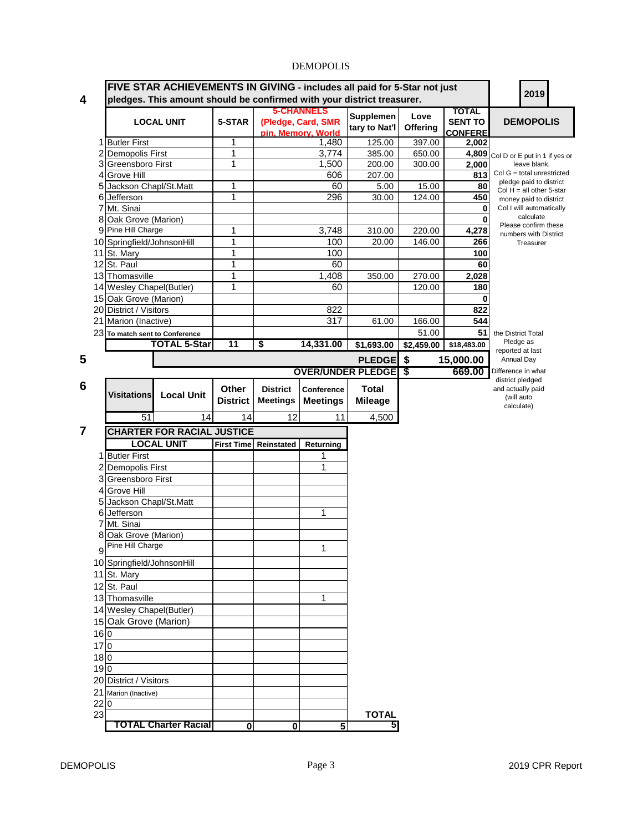|                              |                                                   |                                   |                 |                       | <b>5-CHANNELS</b>  |                          |                 | <b>TOTAL</b>    |                                                    |  |
|------------------------------|---------------------------------------------------|-----------------------------------|-----------------|-----------------------|--------------------|--------------------------|-----------------|-----------------|----------------------------------------------------|--|
|                              |                                                   | <b>LOCAL UNIT</b>                 | 5-STAR          |                       | (Pledge, Card, SMR | Supplemen                | Love            | <b>SENT TO</b>  | <b>DEMOPOLIS</b>                                   |  |
|                              |                                                   |                                   |                 |                       | pin, Memory, World | tary to Nat'l            | <b>Offering</b> | <b>CONFERE</b>  |                                                    |  |
|                              | 1 Butler First                                    |                                   | 1               |                       | 1,480              | 125.00                   | 397.00          | 2,002           |                                                    |  |
|                              | <b>Demopolis First</b>                            |                                   | 1               |                       | 3,774              | 385.00                   | 650.00          | 4,809           | Col D or E put in 1 if yes or                      |  |
|                              | 3 Greensboro First                                |                                   | 1               |                       | 1,500              | 200.00                   | 300.00          | 2,000           | leave blank.<br>$Col G = total$ unrestricted       |  |
|                              | 4 Grove Hill                                      |                                   |                 |                       | 606                | 207.00                   |                 | 813             | pledge paid to district                            |  |
|                              | 5 Jackson Chapl/St.Matt                           |                                   | 1<br>1          |                       | 60<br>296          | 5.00                     | 15.00           | 80              | Col $H = all other 5-star$                         |  |
| 61                           | Jefferson<br>7 Mt. Sinai                          |                                   |                 |                       |                    | 30.00                    | 124.00          | 450<br>$\bf{0}$ | money paid to district<br>Col I will automatically |  |
| 8                            | Oak Grove (Marion)                                |                                   |                 |                       |                    |                          |                 | 0               | calculate                                          |  |
| g                            | Pine Hill Charge                                  |                                   | 1               |                       | 3,748              | 310.00                   | 220.00          | 4,278           | Please confirm these                               |  |
|                              | 10 Springfield/JohnsonHill                        |                                   | 1               |                       | 100                | 20.00                    | 146.00          | 266             | numbers with District<br>Treasurer                 |  |
|                              | 11 St. Mary                                       |                                   | 1               |                       | 100                |                          |                 | 100             |                                                    |  |
|                              | 12 St. Paul                                       |                                   | 1               |                       | 60                 |                          |                 | 60              |                                                    |  |
|                              | 13 Thomasville                                    |                                   | 1               |                       | 1,408              | 350.00                   | 270.00          | 2,028           |                                                    |  |
|                              | 14 Wesley Chapel(Butler)                          |                                   | 1               |                       | 60                 |                          | 120.00          | 180             |                                                    |  |
|                              | 15 Oak Grove (Marion)                             |                                   |                 |                       |                    |                          |                 | 0               |                                                    |  |
|                              | 20 District / Visitors                            |                                   |                 |                       | 822                |                          |                 | 822             |                                                    |  |
|                              | 21 Marion (Inactive)                              |                                   |                 |                       | 317                | 61.00                    | 166.00          | 544             |                                                    |  |
|                              | 23 To match sent to Conference                    |                                   |                 |                       |                    |                          | 51.00           | 51              | the District Total                                 |  |
|                              |                                                   | <b>TOTAL 5-Star</b>               | 11              | \$                    | 14,331.00          | \$1,693.00               | \$2,459.00      | \$18,483.00     | Pledge as                                          |  |
|                              |                                                   |                                   |                 |                       |                    |                          |                 |                 | reported at last                                   |  |
|                              |                                                   |                                   |                 |                       |                    | <b>PLEDGE</b>            | $\sqrt{3}$      | 15,000.00       | Annual Day                                         |  |
|                              |                                                   |                                   |                 |                       |                    | <b>OVER/UNDER PLEDGE</b> | \$              | 669.00          | Difference in what<br>district pledged             |  |
|                              |                                                   |                                   | Other           | <b>District</b>       | Conference         | <b>Total</b>             |                 |                 | and actually paid                                  |  |
|                              | <b>Visitations</b>                                | <b>Local Unit</b>                 | <b>District</b> | <b>Meetings</b>       | <b>Meetings</b>    | <b>Mileage</b>           |                 |                 | (will auto                                         |  |
|                              |                                                   | 14                                |                 |                       |                    |                          |                 |                 | calculate)                                         |  |
|                              | 51                                                |                                   | 14              | 12                    | 11                 | 4,500                    |                 |                 |                                                    |  |
|                              |                                                   | <b>CHARTER FOR RACIAL JUSTICE</b> |                 |                       |                    |                          |                 |                 |                                                    |  |
|                              |                                                   | <b>LOCAL UNIT</b>                 |                 | First Time Reinstated | Returning          |                          |                 |                 |                                                    |  |
|                              | 1 Butler First                                    |                                   |                 |                       |                    |                          |                 |                 |                                                    |  |
|                              | <b>Demopolis First</b>                            |                                   |                 |                       | 1                  |                          |                 |                 |                                                    |  |
|                              | 3 Greensboro First                                |                                   |                 |                       |                    |                          |                 |                 |                                                    |  |
|                              | 4 Grove Hill                                      |                                   |                 |                       |                    |                          |                 |                 |                                                    |  |
|                              |                                                   |                                   |                 |                       |                    |                          |                 |                 |                                                    |  |
|                              | Jackson Chapl/St.Matt                             |                                   |                 |                       |                    |                          |                 |                 |                                                    |  |
|                              | Jefferson                                         |                                   |                 |                       | 1                  |                          |                 |                 |                                                    |  |
|                              | Mt. Sinai                                         |                                   |                 |                       |                    |                          |                 |                 |                                                    |  |
|                              | Oak Grove (Marion)                                |                                   |                 |                       |                    |                          |                 |                 |                                                    |  |
|                              | Pine Hill Charge                                  |                                   |                 |                       | 1                  |                          |                 |                 |                                                    |  |
|                              | 10 Springfield/JohnsonHill                        |                                   |                 |                       |                    |                          |                 |                 |                                                    |  |
|                              |                                                   |                                   |                 |                       |                    |                          |                 |                 |                                                    |  |
|                              | 11 St. Mary<br>12 St. Paul                        |                                   |                 |                       |                    |                          |                 |                 |                                                    |  |
|                              | 13 Thomasville                                    |                                   |                 |                       | 1                  |                          |                 |                 |                                                    |  |
|                              |                                                   |                                   |                 |                       |                    |                          |                 |                 |                                                    |  |
|                              | 14 Wesley Chapel(Butler)<br>15 Oak Grove (Marion) |                                   |                 |                       |                    |                          |                 |                 |                                                    |  |
|                              |                                                   |                                   |                 |                       |                    |                          |                 |                 |                                                    |  |
|                              | 160                                               |                                   |                 |                       |                    |                          |                 |                 |                                                    |  |
|                              | 170                                               |                                   |                 |                       |                    |                          |                 |                 |                                                    |  |
|                              | 180                                               |                                   |                 |                       |                    |                          |                 |                 |                                                    |  |
|                              | 190                                               |                                   |                 |                       |                    |                          |                 |                 |                                                    |  |
|                              | 20 District / Visitors                            |                                   |                 |                       |                    |                          |                 |                 |                                                    |  |
|                              | 21 Marion (Inactive)<br>l <sub>0</sub>            |                                   |                 |                       |                    |                          |                 |                 |                                                    |  |
| 5<br>6<br>7<br>9<br>22<br>23 |                                                   |                                   |                 |                       |                    | <b>TOTAL</b>             |                 |                 |                                                    |  |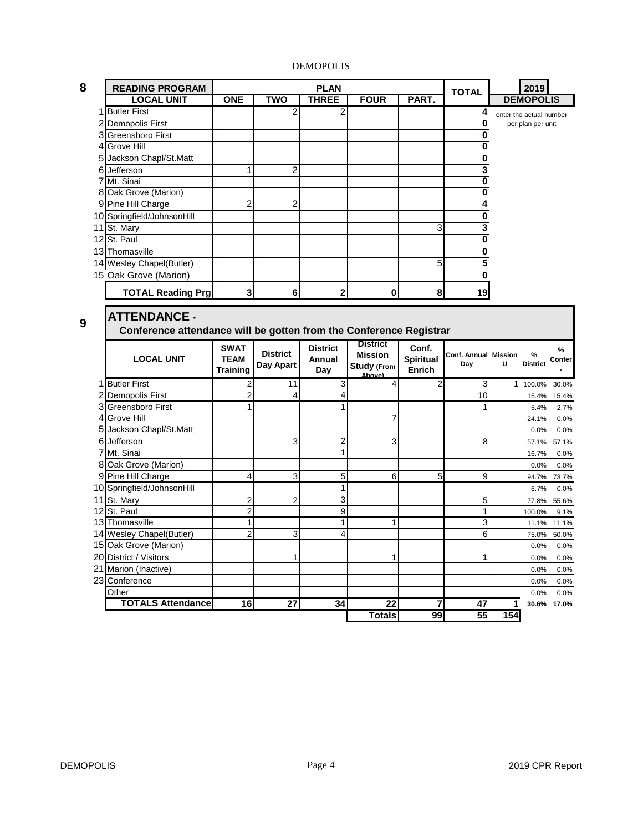|  | r. |
|--|----|
|  |    |
|  |    |
|  |    |

| 8 | <b>READING PROGRAM</b>     |            |     | <b>PLAN</b>  |             |       | <b>TOTAL</b> | 2019                    |
|---|----------------------------|------------|-----|--------------|-------------|-------|--------------|-------------------------|
|   | <b>LOCAL UNIT</b>          | <b>ONE</b> | TWO | <b>THREE</b> | <b>FOUR</b> | PART. |              | <b>DEMOPOLIS</b>        |
|   | <b>Butler First</b>        |            | 2   | 2            |             |       |              | enter the actual number |
|   | 2 Demopolis First          |            |     |              |             |       |              | per plan per unit       |
|   | 3 Greensboro First         |            |     |              |             |       |              |                         |
|   | 4 Grove Hill               |            |     |              |             |       |              |                         |
|   | 5 Jackson Chapl/St.Matt    |            |     |              |             |       |              |                         |
|   | 6 Jefferson                |            | 2   |              |             |       |              |                         |
|   | 7 Mt. Sinai                |            |     |              |             |       |              |                         |
|   | 8 Oak Grove (Marion)       |            |     |              |             |       |              |                         |
|   | 9 Pine Hill Charge         | 2          | 2   |              |             |       |              |                         |
|   | 10 Springfield/JohnsonHill |            |     |              |             |       |              |                         |
|   | 11 St. Mary                |            |     |              |             | 3     | 3            |                         |
|   | 12 St. Paul                |            |     |              |             |       |              |                         |
|   | 13 Thomasville             |            |     |              |             |       |              |                         |
|   | 14 Wesley Chapel(Butler)   |            |     |              |             | 5     |              |                         |
|   | 15 Oak Grove (Marion)      |            |     |              |             |       |              |                         |
|   | <b>TOTAL Reading Prg</b>   | 3          | 6   | $\mathbf 2$  | 0           | 8     | 19           |                         |

## **9**

### **ATTENDANCE - Conference attendance will be gotten from the Conference Registrar**

| <b>LOCAL UNIT</b>          | <b>SWAT</b><br><b>TEAM</b><br><b>Training</b> | <b>District</b><br>Day Apart | <b>District</b><br>Annual<br>Day | <b>District</b><br><b>Mission</b><br><b>Study (From</b><br>Ahove) | Conf.<br><b>Spiritual</b><br>Enrich | Conf. Annual Mission<br>Day | u   | $\frac{9}{6}$<br><b>District</b> | $\%$<br>Confer |
|----------------------------|-----------------------------------------------|------------------------------|----------------------------------|-------------------------------------------------------------------|-------------------------------------|-----------------------------|-----|----------------------------------|----------------|
| <b>Butler First</b>        | 2                                             | 11                           | 3                                | 4                                                                 | 2                                   | 3                           | 1   | 100.0%                           | 30.0%          |
| 2 Demopolis First          | 2                                             | 4                            |                                  |                                                                   |                                     | 10                          |     | 15.4%                            | 15.4%          |
| 3 Greensboro First         |                                               |                              | 1                                |                                                                   |                                     |                             |     | 5.4%                             | 2.7%           |
| 4 Grove Hill               |                                               |                              |                                  | 7                                                                 |                                     |                             |     | 24.1%                            | 0.0%           |
| 5 Jackson Chapl/St.Matt    |                                               |                              |                                  |                                                                   |                                     |                             |     | 0.0%                             | 0.0%           |
| 6 Jefferson                |                                               | 3                            | $\overline{2}$                   | 3                                                                 |                                     | 8                           |     | 57.1%                            | 57.1%          |
| 7 Mt. Sinai                |                                               |                              | 1                                |                                                                   |                                     |                             |     | 16.7%                            | 0.0%           |
| 8 Oak Grove (Marion)       |                                               |                              |                                  |                                                                   |                                     |                             |     | 0.0%                             | 0.0%           |
| 9 Pine Hill Charge         | 4                                             | 3                            | 5                                | 6                                                                 | 5                                   | 9                           |     | 94.7%                            | 73.7%          |
| 10 Springfield/JohnsonHill |                                               |                              |                                  |                                                                   |                                     |                             |     | 6.7%                             | 0.0%           |
| 11 St. Mary                | $\overline{c}$                                | $\overline{2}$               | 3                                |                                                                   |                                     | 5                           |     | 77.8%                            | 55.6%          |
| 12 St. Paul                | 2                                             |                              | 9                                |                                                                   |                                     |                             |     | 100.0%                           | 9.1%           |
| 13 Thomasville             |                                               |                              | 1                                | ٠                                                                 |                                     | 3                           |     | 11.1%                            | 11.1%          |
| 14 Wesley Chapel(Butler)   | $\overline{2}$                                | 3                            | 4                                |                                                                   |                                     | 6                           |     | 75.0%                            | 50.0%          |
| 15 Oak Grove (Marion)      |                                               |                              |                                  |                                                                   |                                     |                             |     | 0.0%                             | 0.0%           |
| 20 District / Visitors     |                                               |                              |                                  |                                                                   |                                     |                             |     | 0.0%                             | 0.0%           |
| 21 Marion (Inactive)       |                                               |                              |                                  |                                                                   |                                     |                             |     | 0.0%                             | 0.0%           |
| 23 Conference              |                                               |                              |                                  |                                                                   |                                     |                             |     | 0.0%                             | 0.0%           |
| Other                      |                                               |                              |                                  |                                                                   |                                     |                             |     | 0.0%                             | 0.0%           |
| <b>TOTALS Attendance</b>   | 16                                            | 27                           | 34                               | 22                                                                | 7                                   | 47                          | 1   | 30.6%                            | 17.0%          |
|                            |                                               |                              |                                  | <b>Totals</b>                                                     | 99                                  | 55                          | 154 |                                  |                |
|                            |                                               |                              |                                  |                                                                   |                                     |                             |     |                                  |                |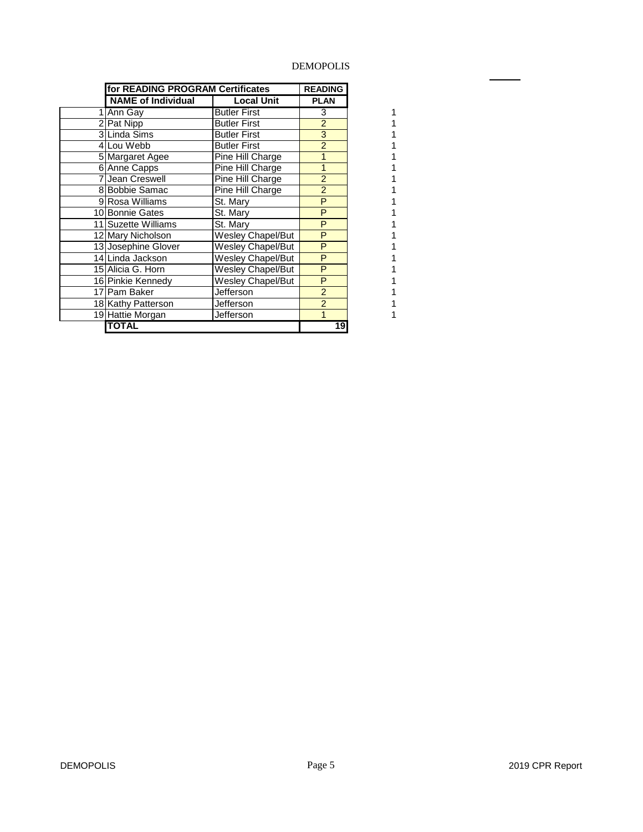l,

|    | for READING PROGRAM Certificates |                          | <b>READING</b> |
|----|----------------------------------|--------------------------|----------------|
|    | <b>NAME of Individual</b>        | <b>Local Unit</b>        | <b>PLAN</b>    |
|    | Ann Gay                          | <b>Butler First</b>      | 3              |
| 21 | Pat Nipp                         | <b>Butler First</b>      | $\overline{2}$ |
|    | 3 Linda Sims                     | <b>Butler First</b>      | 3              |
|    | 4Lou Webb                        | <b>Butler First</b>      | $\overline{2}$ |
|    | 5 Margaret Agee                  | Pine Hill Charge         | 1              |
|    | 6 Anne Capps                     | Pine Hill Charge         | 1              |
|    | Jean Creswell                    | Pine Hill Charge         | $\overline{2}$ |
|    | 8 Bobbie Samac                   | Pine Hill Charge         | $\overline{2}$ |
|    | 9 Rosa Williams                  | St. Mary                 | P              |
|    | 10 Bonnie Gates                  | St. Mary                 | P              |
|    | 11 Suzette Williams              | St. Mary                 | P              |
|    | 12 Mary Nicholson                | Wesley Chapel/But        | P              |
|    | 13 Josephine Glover              | Wesley Chapel/But        | P              |
|    | 14 Linda Jackson                 | Wesley Chapel/But        | P              |
|    | 15 Alicia G. Horn                | Wesley Chapel/But        | P              |
|    | 16 Pinkie Kennedy                | <b>Wesley Chapel/But</b> | P              |
|    | 17 Pam Baker                     | Jefferson                | $\overline{2}$ |
|    | 18 Kathy Patterson               | Jefferson                | $\overline{2}$ |
|    | 19 Hattie Morgan                 | Jefferson                | 1              |
|    | <b>TOTAL</b>                     |                          | 19             |